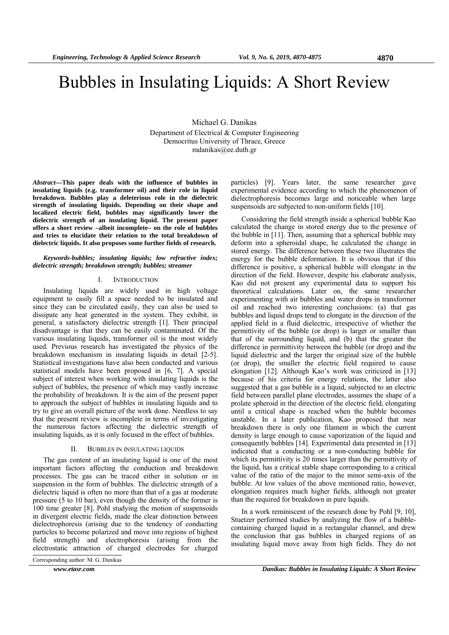# Bubbles in Insulating Liquids: A Short Review

Michael G. Danikas Department of Electrical & Computer Engineering Democritus University of Thrace, Greece mdanikas@ee.duth.gr

*Abstract***—This paper deals with the influence of bubbles in insulating liquids (e.g. transformer oil) and their role in liquid breakdown. Bubbles play a deleterious role in the dielectric strength of insulating liquids. Depending on their shape and localized electric field, bubbles may significantly lower the dielectric strength of an insulating liquid. The present paper offers a short review –albeit incomplete– on the role of bubbles and tries to elucidate their relation to the total breakdown of dielectric liquids. It also proposes some further fields of research.** 

## *Keywords-bubbles; insulating liquids; low refractive index; dielectric strength; breakdown strength; bubbles; streamer*

#### I. INTRODUCTION

Insulating liquids are widely used in high voltage equipment to easily fill a space needed to be insulated and since they can be circulated easily, they can also be used to dissipate any heat generated in the system. They exhibit, in general, a satisfactory dielectric strength [1]. Their principal disadvantage is that they can be easily contaminated. Of the various insulating liquids, transformer oil is the most widely used. Previous research has investigated the physics of the breakdown mechanism in insulating liquids in detail [2-5]. Statistical investigations have also been conducted and various statistical models have been proposed in [6, 7]. A special subject of interest when working with insulating liquids is the subject of bubbles, the presence of which may vastly increase the probability of breakdown. It is the aim of the present paper to approach the subject of bubbles in insulating liquids and to try to give an overall picture of the work done. Needless to say that the present review is incomplete in terms of investigating the numerous factors affecting the dielectric strength of insulating liquids, as it is only focused in the effect of bubbles.

## II. BUBBLES IN INSULATING LIQUIDS

The gas content of an insulating liquid is one of the most important factors affecting the conduction and breakdown processes. The gas can be traced either in solution or in suspension in the form of bubbles. The dielectric strength of a dielectric liquid is often no more than that of a gas at moderate pressure (5 to 10 bar), even though the density of the former is 100 time greater [8]. Pohl studying the motion of suspensoids in divergent electric fields, made the clear distinction between dielectrophoresis (arising due to the tendency of conducting particles to become polarized and move into regions of highest field strength) and electrophoresis (arising from the electrostatic attraction of charged electrodes for charged

Corresponding author: M. G. Danikas

particles) [9]. Years later, the same researcher gave experimental evidence according to which the phenomenon of dielectrophoresis becomes large and noticeable when large suspensoids are subjected to non-uniform fields [10].

Considering the field strength inside a spherical bubble Kao calculated the change in stored energy due to the presence of the bubble in [11]. Then, assuming that a spherical bubble may deform into a spheroidal shape, he calculated the change in stored energy. The difference between these two illustrates the energy for the bubble deformation. It is obvious that if this difference is positive, a spherical bubble will elongate in the direction of the field. However, despite his elaborate analysis, Kao did not present any experimental data to support his theoretical calculations. Later on, the same researcher experimenting with air bubbles and water drops in transformer oil and reached two interesting conclusions: (a) that gas bubbles and liquid drops tend to elongate in the direction of the applied field in a fluid dielectric, irrespective of whether the permittivity of the bubble (or drop) is larger or smaller than that of the surrounding liquid, and (b) that the greater the difference in permittivity between the bubble (or drop) and the liquid dielectric and the larger the original size of the bubble (or drop), the smaller the electric field required to cause elongation [12]. Although Kao's work was criticized in [13] because of his criteria for energy relations, the latter also suggested that a gas bubble in a liquid, subjected to an electric field between parallel plane electrodes, assumes the shape of a prolate spheroid in the direction of the electric field, elongating until a critical shape is reached when the bubble becomes unstable. In a later publication, Kao proposed that near breakdown there is only one filament in which the current density is large enough to cause vaporization of the liquid and consequently bubbles [14]. Experimental data presented in [13] indicated that a conducting or a non-conducting bubble for which its permittivity is 20 times larger than the permittivity of the liquid, has a critical stable shape corresponding to a critical value of the ratio of the major to the minor semi-axis of the bubble. At low values of the above mentioned ratio, however, elongation requires much higher fields, although not greater than the required for breakdown in pure liquids.

In a work reminiscent of the research done by Pohl [9, 10], Stuetzer performed studies by analyzing the flow of a bubblecontaining charged liquid in a rectangular channel, and drew the conclusion that gas bubbles in charged regions of an insulating liquid move away from high fields. They do not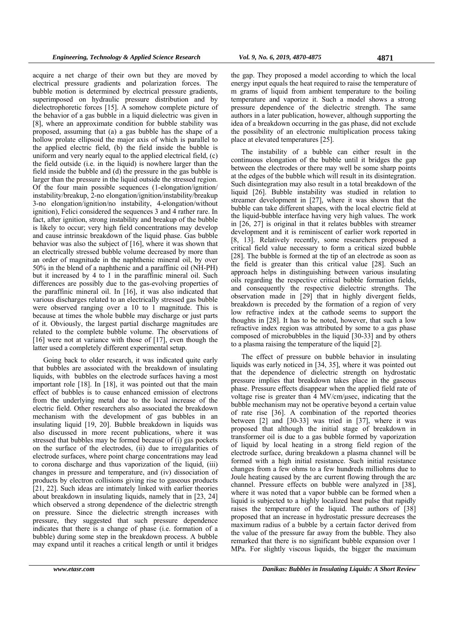acquire a net charge of their own but they are moved by electrical pressure gradients and polarization forces. The bubble motion is determined by electrical pressure gradients, superimposed on hydraulic pressure distribution and by dielectrophoretic forces [15]. A somehow complete picture of the behavior of a gas bubble in a liquid dielectric was given in [8], where an approximate condition for bubble stability was proposed, assuming that (a) a gas bubble has the shape of a hollow prolate ellipsoid the major axis of which is parallel to the applied electric field, (b) the field inside the bubble is uniform and very nearly equal to the applied electrical field, (c) the field outside (i.e. in the liquid) is nowhere larger than the field inside the bubble and (d) the pressure in the gas bubble is larger than the pressure in the liquid outside the stressed region. Of the four main possible sequences (1-elongation/ignition/ instability/breakup, 2-no elongation/ignition/instability/breakup 3-no elongation/ignition/no instability, 4-elongation/without ignition), Felici considered the sequences 3 and 4 rather rare. In fact, after ignition, strong instability and breakup of the bubble is likely to occur; very high field concentrations may develop and cause intrinsic breakdown of the liquid phase. Gas bubble behavior was also the subject of [16], where it was shown that an electrically stressed bubble volume decreased by more than an order of magnitude in the naphthenic mineral oil, by over 50% in the blend of a naphthenic and a paraffinic oil (NH-PH) but it increased by 4 to 1 in the paraffinic mineral oil. Such differences are possibly due to the gas-evolving properties of the paraffinic mineral oil. In [16], it was also indicated that various discharges related to an electrically stressed gas bubble were observed ranging over a 10 to 1 magnitude. This is because at times the whole bubble may discharge or just parts of it. Obviously, the largest partial discharge magnitudes are related to the complete bubble volume. The observations of [16] were not at variance with those of [17], even though the latter used a completely different experimental setup.

Going back to older research, it was indicated quite early that bubbles are associated with the breakdown of insulating liquids, with bubbles on the electrode surfaces having a most important role [18]. In [18], it was pointed out that the main effect of bubbles is to cause enhanced emission of electrons from the underlying metal due to the local increase of the electric field. Other researchers also associated the breakdown mechanism with the development of gas bubbles in an insulating liquid [19, 20]. Bubble breakdown in liquids was also discussed in more recent publications, where it was stressed that bubbles may be formed because of (i) gas pockets on the surface of the electrodes, (ii) due to irregularities of electrode surfaces, where point charge concentrations may lead to corona discharge and thus vaporization of the liquid, (iii) changes in pressure and temperature, and (iv) dissociation of products by electron collisions giving rise to gaseous products [21, 22]. Such ideas are intimately linked with earlier theories about breakdown in insulating liquids, namely that in [23, 24] which observed a strong dependence of the dielectric strength on pressure. Since the dielectric strength increases with pressure, they suggested that such pressure dependence indicates that there is a change of phase (i.e. formation of a bubble) during some step in the breakdown process. A bubble may expand until it reaches a critical length or until it bridges

the gap. They proposed a model according to which the local energy input equals the heat required to raise the temperature of m grams of liquid from ambient temperature to the boiling temperature and vaporize it. Such a model shows a strong pressure dependence of the dielectric strength. The same authors in a later publication, however, although supporting the idea of a breakdown occurring in the gas phase, did not exclude the possibility of an electronic multiplication process taking place at elevated temperatures [25].

The instability of a bubble can either result in the continuous elongation of the bubble until it bridges the gap between the electrodes or there may well be some sharp points at the edges of the bubble which will result in its disintegration. Such disintegration may also result in a total breakdown of the liquid [26]. Bubble instability was studied in relation to streamer development in [27], where it was shown that the bubble can take different shapes, with the local electric field at the liquid-bubble interface having very high values. The work in [26, 27] is original in that it relates bubbles with streamer development and it is reminiscent of earlier work reported in [8, 13]. Relatively recently, some researchers proposed a critical field value necessary to form a critical sized bubble [28]. The bubble is formed at the tip of an electrode as soon as the field is greater than this critical value [28]. Such an approach helps in distinguishing between various insulating oils regarding the respective critical bubble formation fields, and consequently the respective dielectric strengths. The observation made in [29] that in highly divergent fields, breakdown is preceded by the formation of a region of very low refractive index at the cathode seems to support the thoughts in [28]. It has to be noted, however, that such a low refractive index region was attributed by some to a gas phase composed of microbubbles in the liquid [30-33] and by others to a plasma raising the temperature of the liquid [2].

The effect of pressure on bubble behavior in insulating liquids was early noticed in [34, 35], where it was pointed out that the dependence of dielectric strength on hydrostatic pressure implies that breakdown takes place in the gaseous phase. Pressure effects disappear when the applied field rate of voltage rise is greater than 4 MV/cm/μsec, indicating that the bubble mechanism may not be operative beyond a certain value of rate rise [36]. A combination of the reported theories between [2] and [30-33] was tried in [37], where it was proposed that although the initial stage of breakdown in transformer oil is due to a gas bubble formed by vaporization of liquid by local heating in a strong field region of the electrode surface, during breakdown a plasma channel will be formed with a high initial resistance. Such initial resistance changes from a few ohms to a few hundreds milliohms due to Joule heating caused by the arc current flowing through the arc channel. Pressure effects on bubble were analyzed in [38], where it was noted that a vapor bubble can be formed when a liquid is subjected to a highly localized heat pulse that rapidly raises the temperature of the liquid. The authors of [38] proposed that an increase in hydrostatic pressure decreases the maximum radius of a bubble by a certain factor derived from the value of the pressure far away from the bubble. They also remarked that there is no significant bubble expansion over 1 MPa. For slightly viscous liquids, the bigger the maximum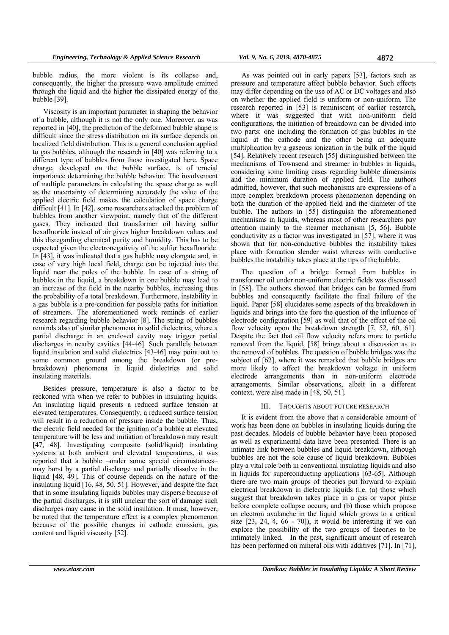bubble radius, the more violent is its collapse and, consequently, the higher the pressure wave amplitude emitted through the liquid and the higher the dissipated energy of the bubble [39].

Viscosity is an important parameter in shaping the behavior of a bubble, although it is not the only one. Moreover, as was reported in [40], the prediction of the deformed bubble shape is difficult since the stress distribution on its surface depends on localized field distribution. This is a general conclusion applied to gas bubbles, although the research in [40] was referring to a different type of bubbles from those investigated here. Space charge, developed on the bubble surface, is of crucial importance determining the bubble behavior. The involvement of multiple parameters in calculating the space charge as well as the uncertainty of determining accurately the value of the applied electric field makes the calculation of space charge difficult [41]. In [42], some researchers attacked the problem of bubbles from another viewpoint, namely that of the different gases. They indicated that transformer oil having sulfur hexafluoride instead of air gives higher breakdown values and this disregarding chemical purity and humidity. This has to be expected given the electronegativity of the sulfur hexafluoride. In [43], it was indicated that a gas bubble may elongate and, in case of very high local field, charge can be injected into the liquid near the poles of the bubble. In case of a string of bubbles in the liquid, a breakdown in one bubble may lead to an increase of the field in the nearby bubbles, increasing thus the probability of a total breakdown. Furthermore, instability in a gas bubble is a pre-condition for possible paths for initiation of streamers. The aforementioned work reminds of earlier research regarding bubble behavior [8]. The string of bubbles reminds also of similar phenomena in solid dielectrics, where a partial discharge in an enclosed cavity may trigger partial discharges in nearby cavities [44-46]. Such parallels between liquid insulation and solid dielectrics [43-46] may point out to some common ground among the breakdown (or prebreakdown) phenomena in liquid dielectrics and solid insulating materials.

Besides pressure, temperature is also a factor to be reckoned with when we refer to bubbles in insulating liquids. An insulating liquid presents a reduced surface tension at elevated temperatures. Consequently, a reduced surface tension will result in a reduction of pressure inside the bubble. Thus, the electric field needed for the ignition of a bubble at elevated temperature will be less and initiation of breakdown may result [47, 48]. Investigating composite (solid/liquid) insulating systems at both ambient and elevated temperatures, it was reported that a bubble –under some special circumstances– may burst by a partial discharge and partially dissolve in the liquid [48, 49]. This of course depends on the nature of the insulating liquid [16, 48, 50, 51]. However, and despite the fact that in some insulating liquids bubbles may disperse because of the partial discharges, it is still unclear the sort of damage such discharges may cause in the solid insulation. It must, however, be noted that the temperature effect is a complex phenomenon because of the possible changes in cathode emission, gas content and liquid viscosity [52].

As was pointed out in early papers [53], factors such as pressure and temperature affect bubble behavior. Such effects may differ depending on the use of AC or DC voltages and also on whether the applied field is uniform or non-uniform. The research reported in [53] is reminiscent of earlier research, where it was suggested that with non-uniform field configurations, the initiation of breakdown can be divided into two parts: one including the formation of gas bubbles in the liquid at the cathode and the other being an adequate multiplication by a gaseous ionization in the bulk of the liquid [54]. Relatively recent research [55] distinguished between the mechanisms of Townsend and streamer in bubbles in liquids, considering some limiting cases regarding bubble dimensions and the minimum duration of applied field. The authors admitted, however, that such mechanisms are expressions of a more complex breakdown process phenomenon depending on both the duration of the applied field and the diameter of the bubble. The authors in [55] distinguish the aforementioned mechanisms in liquids, whereas most of other researchers pay attention mainly to the steamer mechanism [5, 56]. Bubble conductivity as a factor was investigated in [57], where it was shown that for non-conductive bubbles the instability takes place with formation slender waist whereas with conductive bubbles the instability takes place at the tips of the bubble.

The question of a bridge formed from bubbles in transformer oil under non-uniform electric fields was discussed in [58]. The authors showed that bridges can be formed from bubbles and consequently facilitate the final failure of the liquid. Paper [58] elucidates some aspects of the breakdown in liquids and brings into the fore the question of the influence of electrode configuration [59] as well that of the effect of the oil flow velocity upon the breakdown strength [7, 52, 60, 61]. Despite the fact that oil flow velocity refers more to particle removal from the liquid, [58] brings about a discussion as to the removal of bubbles. The question of bubble bridges was the subject of [62], where it was remarked that bubble bridges are more likely to affect the breakdown voltage in uniform electrode arrangements than in non-uniform electrode arrangements. Similar observations, albeit in a different context, were also made in [48, 50, 51].

## III. THOUGHTS ABOUT FUTURE RESEARCH

It is evident from the above that a considerable amount of work has been done on bubbles in insulating liquids during the past decades. Models of bubble behavior have been proposed as well as experimental data have been presented. There is an intimate link between bubbles and liquid breakdown, although bubbles are not the sole cause of liquid breakdown. Bubbles play a vital role both in conventional insulating liquids and also in liquids for superconducting applications [63-65]. Although there are two main groups of theories put forward to explain electrical breakdown in dielectric liquids (i.e. (a) those which suggest that breakdown takes place in a gas or vapor phase before complete collapse occurs, and (b) those which propose an electron avalanche in the liquid which grows to a critical size  $[23, 24, 4, 66 - 70]$ , it would be interesting if we can explore the possibility of the two groups of theories to be intimately linked. In the past, significant amount of research has been performed on mineral oils with additives [71]. In [71],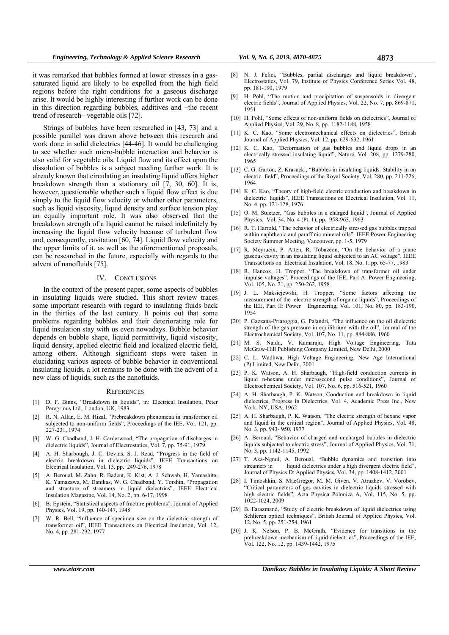it was remarked that bubbles formed at lower stresses in a gassaturated liquid are likely to be expelled from the high field regions before the right conditions for a gaseous discharge arise. It would be highly interesting if further work can be done in this direction regarding bubbles, additives and –the recent trend of research– vegetable oils [72].

Strings of bubbles have been researched in [43, 73] and a possible parallel was drawn above between this research and work done in solid dielectrics [44-46]. It would be challenging to see whether such micro-bubble interaction and behavior is also valid for vegetable oils. Liquid flow and its effect upon the dissolution of bubbles is a subject needing further work. It is already known that circulating an insulating liquid offers higher breakdown strength than a stationary oil  $[7, 30, 60]$ . It is, however, questionable whether such a liquid flow effect is due simply to the liquid flow velocity or whether other parameters, such as liquid viscosity, liquid density and surface tension play an equally important role. It was also observed that the breakdown strength of a liquid cannot be raised indefinitely by increasing the liquid flow velocity because of turbulent flow and, consequently, cavitation [60, 74]. Liquid flow velocity and the upper limits of it, as well as the aforementioned proposals, can be researched in the future, especially with regards to the advent of nanofluids [75].

## IV. CONCLUSIONS

In the context of the present paper, some aspects of bubbles in insulating liquids were studied. This short review traces some important research with regard to insulating fluids back in the thirties of the last century. It points out that some problems regarding bubbles and their deteriorating role for liquid insulation stay with us even nowadays. Bubble behavior depends on bubble shape, liquid permittivity, liquid viscosity, liquid density, applied electric field and localized electric field, among others. Although significant steps were taken in elucidating various aspects of bubble behavior in conventional insulating liquids, a lot remains to be done with the advent of a new class of liquids, such as the nanofluids.

#### **REFERENCES**

- [1] D. F. Binns, "Breakdown in liquids", in: Electrical Insulation, Peter Peregrinus Ltd., London, UK, 1983
- [2] R. N. Allan, E. M. Hizal, "Prebreakdown phenomena in transformer oil subjected to non-uniform fields", Proceedings of the IEE, Vol. 121, pp. 227-231, 1974
- [3] W. G. Chadband, J. H. Carderwood, "The propagation of discharges in dielectric liquids", Journal of Electrostatics, Vol. 7, pp. 75-91, 1979
- [4] A. H. Sharbough, J. C. Devins, S. J. Rzad, "Progress in the field of electric breakdown in dielectric liquids", IEEE Transactions on Electrical Insulation, Vol. 13, pp. 249-276, 1978
- [5] A. Beroual, M. Zahn, R. Badent, K. Kist, A. J. Schwab, H. Yamashita, K. Yamazawa, M. Danikas, W. G. Chadband, Y. Torshin, "Propagation and structure of streamers in liquid dielectrics", IEEE Electrical Insulation Magazine, Vol. 14, No. 2, pp. 6-17, 1998
- [6] B. Epstein, "Statistical aspects of fracture problems", Journal of Applied Physics, Vol. 19, pp. 140-147, 1948
- [7] W. R. Bell, "Influence of specimen size on the dielectric strength of transformer oil", IEEE Transactions on Electrical Insulation, Vol. 12, No. 4, pp. 281-292, 1977
- [8] N. J. Felici, "Bubbles, partial discharges and liquid breakdown", Electrostatics, Vol. 79, Institute of Physics Conference Series Vol. 48, pp. 181-190, 1979
- [9] H. Pohl, "The motion and precipitation of suspensoids in divergent electric fields", Journal of Applied Physics, Vol. 22, No. 7, pp. 869-871, 1951
- [10] H. Pohl, "Some effects of non-uniform fields on dielectrics", Journal of Applied Physics, Vol. 29, No. 8, pp. 1182-1188, 1958
- [11] K. C. Kao, "Some electromechanical effects on dielectrics", British Journal of Applied Physics, Vol. 12, pp. 629-632, 1961
- [12] K. C. Kao, "Deformation of gas bubbles and liquid drops in an electrically stressed insulating liquid", Nature, Vol. 208, pp. 1279-280, 1965
- [13] C. G. Garton, Z. Krasucki, "Bubbles in insulating liquids: Stability in an electric field", Proceedings of the Royal Society, Vol. 280, pp. 211-226, 1964
- [14] K. C. Kao, "Theory of high-field electric conduction and breakdown in dielectric liquids", IEEE Transactions on Electrical Insulation, Vol. 11, No. 4, pp. 121-128, 1976
- [15] O. M. Stuetzer, "Gas bubbles in a charged liquid", Journal of Applied Physics, Vol. 34, No. 4 (Pt. 1), pp. 958-963, 1963
- [16] R. T. Harrold, "The behavior of electrically stressed gas bubbles trapped within naphthenic and paraffinic mineral oils", IEEE Power Engineering Society Summer Meeting, Vancouver, pp. 1-5, 1979
- [17] R. Meyrueix, P. Atten, R. Tobazeon, "On the behavior of a plane gaseous cavity in an insulating liquid subjected to an AC voltage", IEEE Transactions on Electrical Insulation, Vol. 18, No. 1, pp. 65-77, 1983
- [18] R. Hancox, H. Tropper, "The breakdown of transformer oil under impulse voltages", Proceedings of the IEE, Part A: Power Engineering, Vol. 105, No. 21, pp. 250-262, 1958
- [19] J. L. Maksiejewski, H. Tropper, "Some factors affecting the measurement of the electric strength of organic liquids", Proceedings of the IEE, Part II: Power Engineering, Vol. 101, No. 80, pp. 183-190, 1954
- [20] P. Gazzana-Priaroggia, G. Palandri, "The influence on the oil dielectric strength of the gas pressure in equilibrium with the oil", Journal of the Electrochemical Society, Vol. 107, No. 11, pp. 884-886, 1960
- [21] M. S. Naidu, V. Kamaraju, High Voltage Engineering, Tata McGraw-Hill Publishing Company Limited, New Delhi, 2000
- [22] C. L. Wadhwa, High Voltage Engineering, New Age International (P) Limited, New Delhi, 2001
- [23] P. K. Watson, A. H. Sharbaugh, "High-field conduction currents in liquid n-hexane under microsecond pulse conditions", Journal of Electrochemical Society, Vol. 107, No. 6, pp. 516-521, 1960
- [24] A. H. Sharbaugh, P. K. Watson, Conduction and breakdown in liquid dielectrics, Progress in Dielectrics, Vol. 4, Academic Press Inc., New York, NY, USA, 1962
- [25] A. H. Sharbaugh, P. K. Watson, "The electric strength of hexane vapor and liquid in the critical region", Journal of Applied Physics, Vol. 48, No. 3, pp. 943- 950, 1977
- [26] A. Beroual, "Behavior of charged and uncharged bubbles in dielectric liquids subjected to electric stress", Journal of Applied Physics, Vol. 71, No. 3, pp. 1142-1145, 1992
- [27] T. Aka-Ngnui, A. Beroual, "Bubble dynamics and transition into streamers in liquid dielectrics under a high divergent electric field", Journal of Physics D: Applied Physics, Vol. 34, pp. 1408-1412, 2001
- [28] I. Timoshkin, S. MacGregor, M. M. Given, V. Atrazhev, V. Vorobev, "Critical parameters of gas cavities in dielectric liquids stressed with high electric fields", Acta Physica Polonica A, Vol. 115, No. 5, pp. 1022-1024, 2009
- [29] B. Farazmand, "Study of electric breakdown of liquid dielectrics using Schlieren optical techniques", British Journal of Applied Physics, Vol. 12, No. 5, pp. 251-254, 1961
- [30] J. K. Nelson, P. B. McGrath, "Evidence for transitions in the prebreakdown mechanism of liquid dielectrics", Proceedings of the IEE, Vol. 122, No. 12, pp. 1439-1442, 1975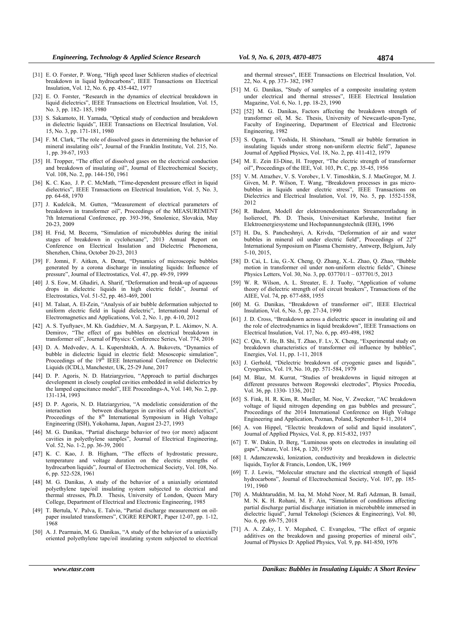- [31] E. O. Forster, P. Wong, "High speed laser Schlieren studies of electrical breakdown in liquid hydrocarbons", IEEE Transactions on Electrical Insulation, Vol. 12, No. 6, pp. 435-442, 1977
- [32] E. O. Forster, "Research in the dynamics of electrical breakdown in liquid dielectrics", IEEE Transactions on Electrical Insulation, Vol. 15, No. 3, pp. 182- 185, 1980
- [33] S. Sakamoto, H. Yamada, "Optical study of conduction and breakdown in dielectric liquids", IEEE Transactions on Electrical Insulation, Vol. 15, No. 3, pp. 171-181, 1980
- [34] F. M. Clark, "The role of dissolved gases in determining the behavior of mineral insulating oils", Journal of the Franklin Institute, Vol. 215, No. 1, pp. 39-67, 1933
- [35] H. Tropper, "The effect of dissolved gases on the electrical conduction and breakdown of insulating oil", Journal of Electrochemical Society, Vol. 108, No. 2, pp. 144-150, 1961
- [36] K. C. Kao, J. P. C. McMath, "Time-dependent pressure effect in liquid dielectrics", IEEE Transactions on Electrical Insulation, Vol. 5, No. 3, pp. 64-68, 1970
- [37] J. Kudelcik, M. Gutten, "Measurement of electrical parameters of breakdown in transformer oil", Proceedings of the MEASUREMENT 7th International Conference, pp. 393-396, Smolenice, Slovakia, May 20-23, 2009
- [38] H. Frid, M. Becerra, "Simulation of microbubbles during the initial stages of breakdown in cyclohexane", 2013 Annual Report on Conference on Electrical Insulation and Dielectric Phenomena, Shenzhen, China, October 20-23, 2013
- [39] F. Jomni, F. Aitken, A. Denat, "Dynamics of microscopic bubbles generated by a corona discharge in insulating liquids: Influence of pressure", Journal of Electrostatics, Vol. 47, pp. 49-59, 1999
- [40] J. S. Eow, M. Ghadiri, A. Sharif, "Deformation and break-up of aqueous drops in dielectric liquids in high electric fields", Journal of Electrostatics, Vol. 51-52, pp. 463-469, 2001
- [41] M. Talaat, A. El-Zein, "Analysis of air bubble deformation subjected to uniform electric field in liquid dielectric", International Journal of Electromagnetics and Applications, Vol. 2, No. 1, pp. 4-10, 2012
- [42] A. S. Tyuftyaev, M. Kh. Gadzhiev, M. A. Sargsyan, P. L. Akimov, N. A. Demirov, "The effect of gas bubbles on electrical breakdown in transformer oil", Journal of Physics: Conference Series, Vol. 774, 2016
- [43] D. A. Medvedev, A. L. Kupershtokh, A. A. Bukovets, "Dynamics of bubble in dielectric liquid in electric field: Mesoscopic simulation", Proceedings of the 19<sup>th</sup> IEEE International Conference on Dielectric Liquids (ICDL), Manchester, UK, 25-29 June, 2017
- [44] D. P. Agoris, N. D. Hatziargyriou, "Approach to partial discharges development in closely coupled cavities embedded in solid dielectrics by the lamped capacitance model", IEE Proceedings-A, Vol. 140, No. 2, pp. 131-134, 1993
- [45] D. P. Agoris, N. D. Hatziargyriou, "A modelistic consideration of the interaction between discharges in cavities of solid dielectrics", Proceedings of the 8<sup>th</sup> International Symposium in High Voltage Engineering (ISH), Yokohama, Japan, August 23-27, 1993
- [46] M. G. Danikas, "Partial discharge behavior of two (or more) adjacent cavities in polyethylene samples", Journal of Electrical Engineering, Vol. 52, No. 1-2, pp. 36-39, 2001
- [47] K. C. Kao, J. B. Higham, "The effects of hydrostatic pressure, temperature and voltage duration on the electric strengths of hydrocarbon liquids", Journal of Electrochemical Society, Vol. 108, No. 6, pp. 522-528, 1961
- [48] M. G. Danikas, A study of the behavior of a uniaxially orientated polyethylene tape/oil insulating system subjected to electrical and thermal stresses, Ph.D. Thesis, University of London, Queen Mary College, Department of Electrical and Electronic Engineering, 1985
- [49] T. Bertula, V. Palva, E. Talvio, "Partial discharge measurement on oilpaper insulated transformers", CIGRE REPORT, Paper 12-07, pp. 1-12, 1968
- [50] A. J. Pearmain, M. G. Danikas, "A study of the behavior of a uniaxially oriented polyethylene tape/oil insulating system subjected to electrical

and thermal stresses", IEEE Transactions on Electrical Insulation, Vol. 22, No. 4, pp. 373- 382, 1987

- [51] M. G. Danikas, "Study of samples of a composite insulating system under electrical and thermal stresses", IEEE Electrical Insulation Magazine, Vol. 6, No. 1, pp. 18-23, 1990
- [52] [52] M. G. Danikas, Factors affecting the breakdown strength of transformer oil, M. Sc. Thesis, University of Newcastle-upon-Tyne, Faculty of Engineering, Department of Electrical and Electronic Engineering, 1982
- [53] S. Ogata, T. Yoshida, H. Shinohara, "Small air bubble formation in insulating liquids under strong non-uniform electric field", Japanese Journal of Applied Physics, Vol. 18, No. 2, pp. 411-412, 1979
- [54] M. E. Zein El-Dine, H. Tropper, "The electric strength of transformer oil", Proceedings of the IEE, Vol. 103, Pt. C, pp. 35-45, 1956
- [55] V. M. Atrazhev, V. S. Vorobev, I. V. Timoshkin, S. J. MacGregor, M. J. Given, M. P. Wilson, T. Wang, "Breakdown processes in gas microbubbles in liquids under electric stress", IEEE Transactions on Dielectrics and Electrical Insulation, Vol. 19, No. 5, pp. 1552-1558, 2012
- [56] R. Badent, Modell der elektronendominanten Streamerentladung in Isolieroel, Ph. D. Thesis, Universitaet Karlsruhe, Institut fuer Elektroenergiesysteme und Hochspannungstechnik (IEH), 1996
- [57] H. Du, S. Pancheshnyi, A. Krivda, "Deformation of air and water bubbles in mineral oil under electric field", Proceedings of 22<sup>t</sup> International Symposium on Plasma Chemistry, Antwerp, Belgium, July 5-10, 2015,
- [58] D. Cai, L. Liu, G.-X. Cheng, Q. Zhang, X.-L. Zhao, Q. Zhao, "Bubble motion in transformer oil under non-uniform electric fields", Chinese Physics Letters, Vol. 30, No. 3, pp. 037701/1 – 037701/5, 2013
- [59] W. R. Wilson, A. L. Streater, E. J. Tuohy, "Application of volume theory of dielectric strength of oil circuit breakers", Transactions of the AIEE, Vol. 74, pp. 677-688, 1955
- [60] M. G. Danikas, "Breakdown of transformer oil", IEEE Electrical Insulation, Vol. 6, No. 5, pp. 27-34, 1990
- [61] J. D. Cross, "Breakdown across a dielectric spacer in insulating oil and the role of electrodynamics in liquid breakdown", IEEE Transactions on Electrical Insulation, Vol. 17, No. 6, pp. 493-498, 1982
- [62] C. Qin, Y. He, B. Shi, T. Zhao, F. Lv, X. Cheng, "Experimental study on breakdown characteristics of transformer oil influence by bubbles", Energies, Vol. 11, pp. 1-11, 2018
- [63] J. Gerhold, "Dielectric breakdown of cryogenic gases and liquids", Cryogenics, Vol. 19, No. 10, pp. 571-584, 1979
- [64] M. Blaz, M. Kurrat, "Studies of breakdowns in liquid nitrogen at different pressures between Rogowski electrodes", Physics Procedia, Vol. 36, pp. 1330- 1336, 2012
- [65] S. Fink, H. R. Kim, R. Mueller, M. Noe, V. Zwecker, "AC breakdown voltage of liquid nitrogen depending on gas bubbles and pressure", Proceedings of the 2014 International Conference on High Voltage Engineering and Application, Poznan, Poland, September 8-11, 2014
- [66] A. von Hippel, "Electric breakdown of solid and liquid insulators", Journal of Applied Physics, Vol. 8, pp. 815-832, 1937
- [67] T. W. Dakin, D. Berg, "Luminous spots on electrodes in insulating oil gaps", Nature, Vol. 184, p. 120, 1959
- [68] I. Adamczewski, Ionization, conductivity and breakdown in dielectric liquids, Taylor & Francis, London, UK, 1969
- [69] T. J. Lewis, "Molecular structure and the electrical strength of liquid hydrocarbons", Journal of Electrochemical Society, Vol. 107, pp. 185- 191, 1960
- [70] A. Mukhtaruddin, M. Isa, M. Mohd Noor, M. Rafi Adzman, B. Ismail, M. N. K. H. Rohani, M. F. Ain, "Simulation of conditions affecting partial discharge partial discharge initiation in microbubble immersed in dielectric liquid", Jurnal Teknologi (Sciences & Engineering), Vol. 80, No. 6, pp. 69-75, 2018
- [71] A. A. Zaky, I. Y. Megahed, C. Evangelou, "The effect of organic additives on the breakdown and gassing properties of mineral oils", Journal of Physics D: Applied Physics, Vol. 9, pp. 841-850, 1976